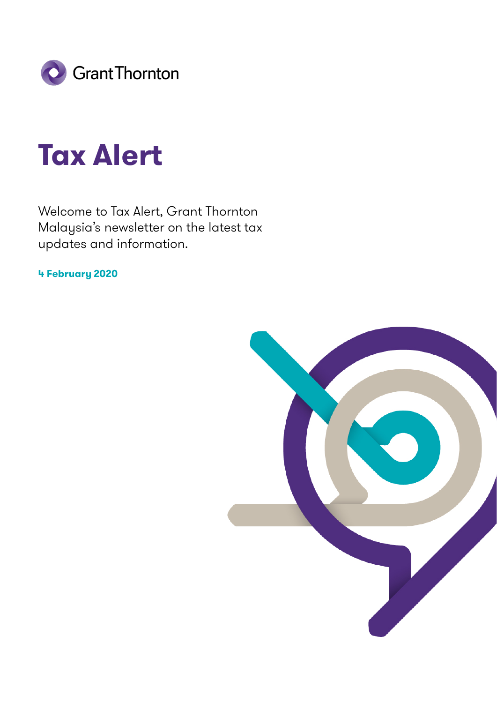

# **Tax Alert**

Welcome to Tax Alert, Grant Thornton Malaysia's newsletter on the latest tax updates and information.

**4 February 2020**

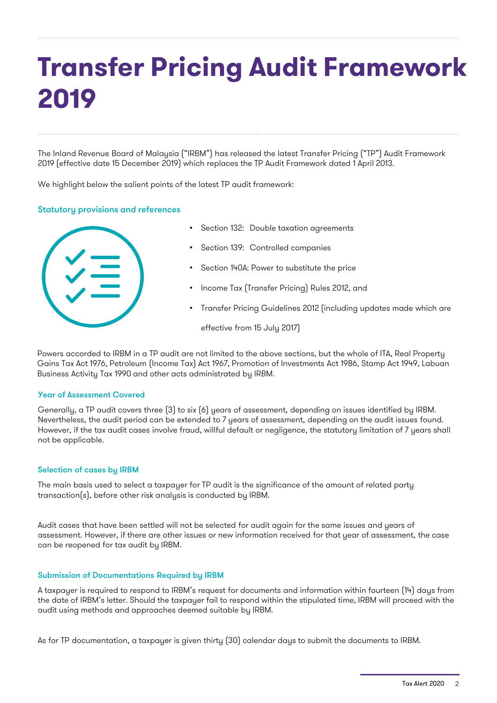The Inland Revenue Board of Malaysia ("IRBM") has released the latest Transfer Pricing ("TP") Audit Framework 2019 (effective date 15 December 2019) which replaces the TP Audit Framework dated 1 April 2013.

We highlight below the salient points of the latest TP audit framework:

#### Statutory provisions and references



- Section 132: Double taxation agreements
- Section 139: Controlled companies
- Section 140A: Power to substitute the price
- Income Tax (Transfer Pricing) Rules 2012, and
- Transfer Pricing Guidelines 2012 (including updates made which are

effective from 15 July 2017)

Powers accorded to IRBM in a TP audit are not limited to the above sections, but the whole of ITA, Real Property Gains Tax Act 1976, Petroleum (Income Tax) Act 1967, Promotion of Investments Act 1986, Stamp Act 1949, Labuan Business Activity Tax 1990 and other acts administrated by IRBM.

#### Year of Assessment Covered

Generally, a TP audit covers three (3) to six (6) years of assessment, depending on issues identified by IRBM. Nevertheless, the audit period can be extended to 7 years of assessment, depending on the audit issues found. However, if the tax audit cases involve fraud, willful default or negligence, the statutory limitation of 7 years shall not be applicable.

#### Selection of cases by IRBM

The main basis used to select a taxpayer for TP audit is the significance of the amount of related party transaction(s), before other risk analysis is conducted by IRBM.

Audit cases that have been settled will not be selected for audit again for the same issues and years of assessment. However, if there are other issues or new information received for that year of assessment, the case can be reopened for tax audit by IRBM.

#### Submission of Documentations Required by IRBM

A taxpayer is required to respond to IRBM's request for documents and information within fourteen (14) days from the date of IRBM's letter. Should the taxpayer fail to respond within the stipulated time, IRBM will proceed with the audit using methods and approaches deemed suitable by IRBM.

As for TP documentation, a taxpayer is given thirty (30) calendar days to submit the documents to IRBM.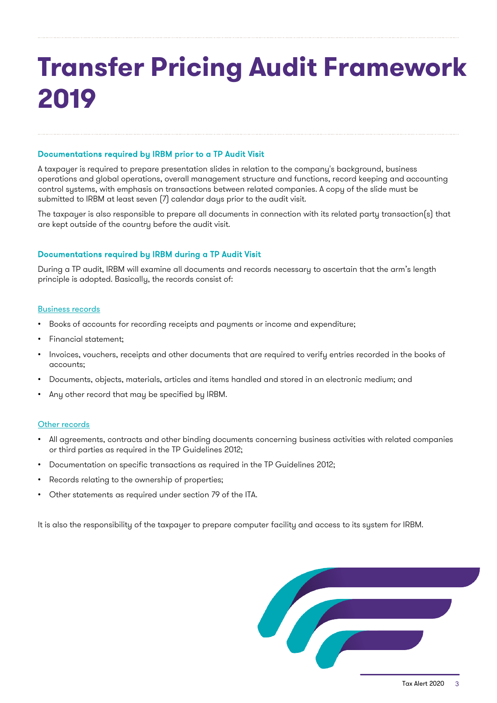### Documentations required by IRBM prior to a TP Audit Visit

A taxpayer is required to prepare presentation slides in relation to the company's background, business operations and global operations, overall management structure and functions, record keeping and accounting control systems, with emphasis on transactions between related companies. A copy of the slide must be submitted to IRBM at least seven (7) calendar days prior to the audit visit.

The taxpayer is also responsible to prepare all documents in connection with its related party transaction(s) that are kept outside of the country before the audit visit.

#### Documentations required by IRBM during a TP Audit Visit

During a TP audit, IRBM will examine all documents and records necessary to ascertain that the arm's length principle is adopted. Basically, the records consist of:

#### Business records

- Books of accounts for recording receipts and payments or income and expenditure;
- Financial statement;
- Invoices, vouchers, receipts and other documents that are required to verify entries recorded in the books of accounts;
- Documents, objects, materials, articles and items handled and stored in an electronic medium; and
- Any other record that may be specified by IRBM.

#### Other records

- All agreements, contracts and other binding documents concerning business activities with related companies or third parties as required in the TP Guidelines 2012;
- Documentation on specific transactions as required in the TP Guidelines 2012;
- Records relating to the ownership of properties;
- Other statements as required under section 79 of the ITA.

It is also the responsibility of the taxpayer to prepare computer facility and access to its system for IRBM.

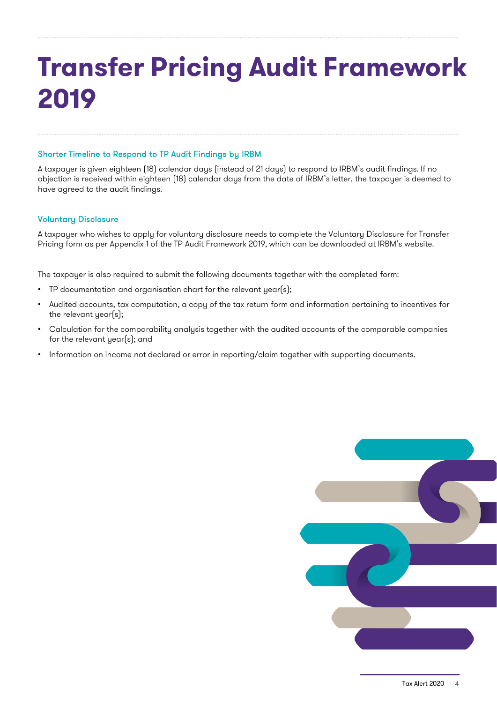### Shorter Timeline to Respond to TP Audit Findings by IRBM

A taxpayer is given eighteen (18) calendar days (instead of 21 days) to respond to IRBM's audit findings. If no objection is received within eighteen (18) calendar days from the date of IRBM's letter, the taxpayer is deemed to have agreed to the audit findings.

### Voluntary Disclosure

A taxpayer who wishes to apply for voluntary disclosure needs to complete the Voluntary Disclosure for Transfer Pricing form as per Appendix 1 of the TP Audit Framework 2019, which can be downloaded at IRBM's website.

The taxpayer is also required to submit the following documents together with the completed form:

- TP documentation and organisation chart for the relevant year(s);
- Audited accounts, tax computation, a copy of the tax return form and information pertaining to incentives for the relevant year(s);
- Calculation for the comparability analysis together with the audited accounts of the comparable companies for the relevant year(s); and
- Information on income not declared or error in reporting/claim together with supporting documents.

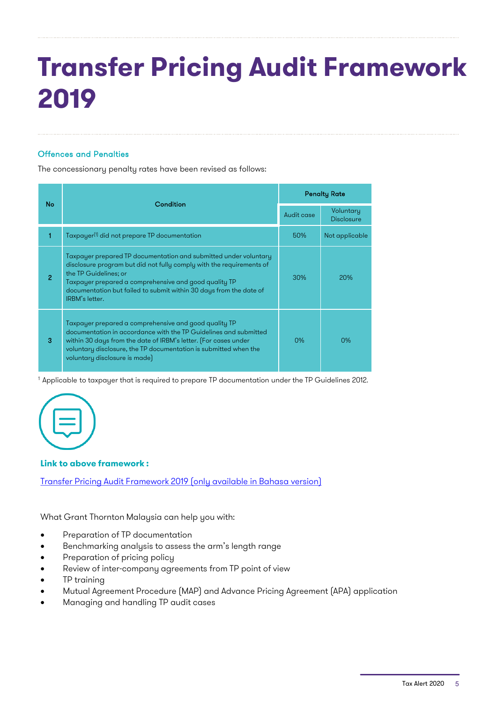### Offences and Penalties

The concessionary penalty rates have been revised as follows:

| No. | Condition                                                                                                                                                                                                                                                                                                          | <b>Penalty Rate</b> |                                |
|-----|--------------------------------------------------------------------------------------------------------------------------------------------------------------------------------------------------------------------------------------------------------------------------------------------------------------------|---------------------|--------------------------------|
|     |                                                                                                                                                                                                                                                                                                                    | Audit case          | Voluntary<br><b>Disclosure</b> |
| 1   | Taxpayer <sup>(1)</sup> did not prepare TP documentation                                                                                                                                                                                                                                                           | 50%                 | Not applicable                 |
| 2   | Taxpayer prepared TP documentation and submitted under voluntary<br>disclosure program but did not fully comply with the requirements of<br>the TP Guidelines; or<br>Taxpayer prepared a comprehensive and good quality TP<br>documentation but failed to submit within 30 days from the date of<br>IRBM's letter. | 30%                 | 20%                            |
| 3   | Taxpayer prepared a comprehensive and good quality TP<br>documentation in accordance with the TP Guidelines and submitted<br>within 30 days from the date of IRBM's letter. (For cases under<br>voluntary disclosure, the TP documentation is submitted when the<br>voluntary disclosure is made)                  | $0\%$               | 0%                             |

1 Applicable to taxpayer that is required to prepare TP documentation under the TP Guidelines 2012.



#### **Link to above framework :**

Transfer Pricing Audit [Framework](http://lampiran1.hasil.gov.my/pdf/pdfam/RK_AUDIT_HARGA_PINDAHAN_2019.pdf) 2019 (only available in Bahasa version)

What Grant Thornton Malaysia can help you with:

- Preparation of TP documentation
- Benchmarking analysis to assess the arm's length range
- Preparation of pricing policy
- Review of inter-company agreements from TP point of view
- TP training
- Mutual Agreement Procedure (MAP) and Advance Pricing Agreement (APA) application
- Managing and handling TP audit cases